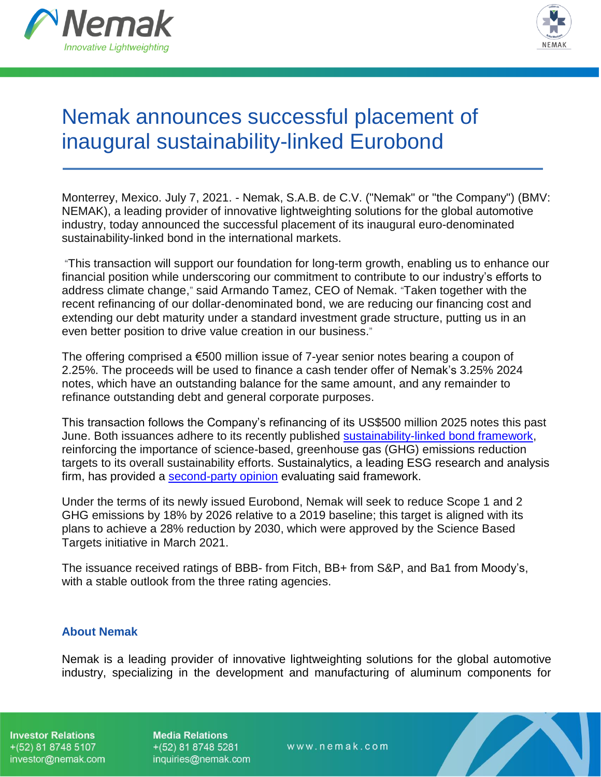



## Nemak announces successful placement of inaugural sustainability-linked Eurobond

Monterrey, Mexico. July 7, 2021. - Nemak, S.A.B. de C.V. ("Nemak" or "the Company") (BMV: NEMAK), a leading provider of innovative lightweighting solutions for the global automotive industry, today announced the successful placement of its inaugural euro-denominated sustainability-linked bond in the international markets.

"This transaction will support our foundation for long-term growth, enabling us to enhance our financial position while underscoring our commitment to contribute to our industry's efforts to address climate change," said Armando Tamez, CEO of Nemak. "Taken together with the recent refinancing of our dollar-denominated bond, we are reducing our financing cost and extending our debt maturity under a standard investment grade structure, putting us in an even better position to drive value creation in our business."

The offering comprised a  $€500$  million issue of 7-year senior notes bearing a coupon of 2.25%. The proceeds will be used to finance a cash tender offer of Nemak's 3.25% 2024 notes, which have an outstanding balance for the same amount, and any remainder to refinance outstanding debt and general corporate purposes.

This transaction follows the Company's refinancing of its US\$500 million 2025 notes this past June. Both issuances adhere to its recently published [sustainability-linked bond framework,](https://investors.nemak.com/static-files/55ecb6f8-b5f3-4b24-8cca-15dcf3c105b9) reinforcing the importance of science-based, greenhouse gas (GHG) emissions reduction targets to its overall sustainability efforts. Sustainalytics, a leading ESG research and analysis firm, has provided a [second-party opinion](https://investors.nemak.com/static-files/5e0a4648-95d3-4949-9957-75655d351d34) evaluating said framework.

Under the terms of its newly issued Eurobond, Nemak will seek to reduce Scope 1 and 2 GHG emissions by 18% by 2026 relative to a 2019 baseline; this target is aligned with its plans to achieve a 28% reduction by 2030, which were approved by the Science Based Targets initiative in March 2021.

The issuance received ratings of BBB- from Fitch, BB+ from S&P, and Ba1 from Moody's, with a stable outlook from the three rating agencies.

## **About Nemak**

Nemak is a leading provider of innovative lightweighting solutions for the global automotive industry, specializing in the development and manufacturing of aluminum components for

**Investor Relations**  $+(52)$  81 8748 5107 investor@nemak.com **Media Relations**  $+(52)$  81 8748 5281 inquiries@nemak.com

www.nemak.com